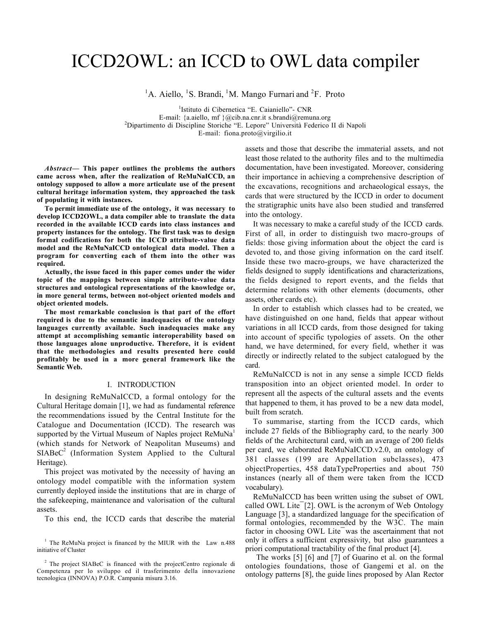# ICCD2OWL: an ICCD to OWL data compiler

<sup>1</sup>A. Aiello, <sup>1</sup>S. Brandi, <sup>1</sup>M. Mango Furnari and <sup>2</sup>F. Proto

1 Istituto di Cibernetica "E. Caianiello"- CNR E-mail: {a.aiello, mf }@cib.na.cnr.it s.brandi@remuna.org Dipartimento di Discipline Storiche "E. Lepore" Università Federico II di Napoli E-mail: fiona.proto@virgilio.it

*Abstract*— This paper outlines the problems the authors came across when, after the realization of ReMuNaICCD, an ontology supposed to allow a more articulate use of the present cultural heritage information system, they approached the task of populating it with instances.

To permit immediate use of the ontology, it was necessary to develop ICCD2OWL, a data compiler able to translate the data recorded in the available ICCD cards into class instances and property instances for the ontology. The first task was to design formal codifications for both the ICCD attribute-value data model and the ReMuNaICCD ontological data model. Then a program for converting each of them into the other was required.

Actually, the issue faced in this paper comes under the wider topic of the mappings between simple attribute-value data structures and ontological representations of the knowledge or, in more general terms, between not-object oriented models and object oriented models.

The most remarkable conclusion is that part of the effort required is due to the semantic inadequacies of the ontology languages currently available. Such inadequacies make any attempt at accomplishing semantic interoperability based on those languages alone unproductive. Therefore, it is evident that the methodologies and results presented here could profitably be used in a more general framework like the Semantic Web.

#### I. INTRODUCTION

In designing ReMuNaICCD, a formal ontology for the Cultural Heritage domain [1], we had as fundamental reference the recommendations issued by the Central Institute for the Catalogue and Documentation (ICCD). The research was supported by the Virtual Museum of Naples project ReMuNa<sup>1</sup> (which stands for Network of Neapolitan Museums) and  $SIABC<sup>2</sup>$  (Information System Applied to the Cultural Heritage).

This project was motivated by the necessity of having an ontology model compatible with the information system currently deployed inside the institutions that are in charge of the safekeeping, maintenance and valorisation of the cultural assets.

To this end, the ICCD cards that describe the material

assets and those that describe the immaterial assets, and not least those related to the authority files and to the multimedia documentation, have been investigated. Moreover, considering their importance in achieving a comprehensive description of the excavations, recognitions and archaeological essays, the cards that were structured by the ICCD in order to document the stratigraphic units have also been studied and transferred into the ontology.

It was necessary to make a careful study of the ICCD cards. First of all, in order to distinguish two macro-groups of fields: those giving information about the object the card is devoted to, and those giving information on the card itself. Inside these two macro-groups, we have characterized the fields designed to supply identifications and characterizations, the fields designed to report events, and the fields that determine relations with other elements (documents, other assets, other cards etc).

In order to establish which classes had to be created, we have distinguished on one hand, fields that appear without variations in all ICCD cards, from those designed for taking into account of specific typologies of assets. On the other hand, we have determined, for every field, whether it was directly or indirectly related to the subject catalogued by the card.

ReMuNaICCD is not in any sense a simple ICCD fields transposition into an object oriented model. In order to represent all the aspects of the cultural assets and the events that happened to them, it has proved to be a new data model, built from scratch.

To summarise, starting from the ICCD cards, which include 27 fields of the Bibliography card, to the nearly 300 fields of the Architectural card, with an average of 200 fields per card, we elaborated ReMuNaICCD.v2.0, an ontology of 381 classes (199 are Appellation subclasses), 473 objectProperties, 458 dataTypeProperties and about 750 instances (nearly all of them were taken from the ICCD vocabulary).

ReMuNaICCD has been written using the subset of OWL called OWL Lite $\overline{2}$ . OWL is the acronym of Web Ontology Language [3], a standardized language for the specification of formal ontologies, recommended by the W3C. The main factor in choosing OWL Lite was the ascertainment that not only it offers a sufficient expressivity, but also guarantees a priori computational tractability of the final product [4].

The works [5] [6] and [7] of Guarino et al. on the formal ontologies foundations, those of Gangemi et al. on the ontology patterns [8], the guide lines proposed by Alan Rector

<sup>&</sup>lt;sup>1</sup> The ReMuNa project is financed by the MIUR with the Law n.488 initiative of Cluster

<sup>2</sup> The project SIABeC is financed with the projectCentro regionale di Competenza per lo sviluppo ed il trasferimento della innovazione tecnologica (INNOVA) P.O.R. Campania misura 3.16.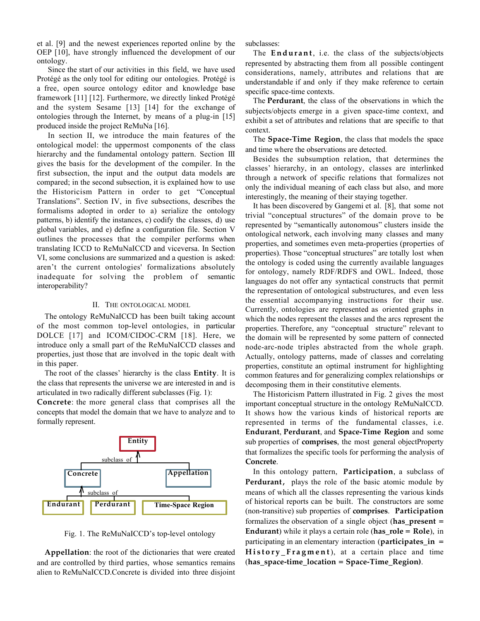et al. [9] and the newest experiences reported online by the OEP [10], have strongly influenced the development of our ontology.

Since the start of our activities in this field, we have used Protégé as the only tool for editing our ontologies. Protégé is a free, open source ontology editor and knowledge base framework [11] [12]. Furthermore, we directly linked Protégé and the system Sesame [13] [14] for the exchange of ontologies through the Internet, by means of a plug-in [15] produced inside the project ReMuNa [16].

In section II, we introduce the main features of the ontological model: the uppermost components of the class hierarchy and the fundamental ontology pattern. Section III gives the basis for the development of the compiler. In the first subsection, the input and the output data models are compared; in the second subsection, it is explained how to use the Historicism Pattern in order to get "Conceptual Translations". Section IV, in five subsections, describes the formalisms adopted in order to a) serialize the ontology patterns, b) identify the instances, c) codify the classes, d) use global variables, and e) define a configuration file. Section V outlines the processes that the compiler performs when translating ICCD to ReMuNaICCD and viceversa. In Section VI, some conclusions are summarized and a question is asked: aren't the current ontologies' formalizations absolutely inadequate for solving the problem of semantic interoperability?

# II. THE ONTOLOGICAL MODEL

The ontology ReMuNaICCD has been built taking account of the most common top-level ontologies, in particular DOLCE [17] and ICOM/CIDOC-CRM [18]. Here, we introduce only a small part of the ReMuNaICCD classes and properties, just those that are involved in the topic dealt with in this paper.

The root of the classes' hierarchy is the class **Entity**. It is the class that represents the universe we are interested in and is articulated in two radically different subclasses (Fig. 1):

**Concrete**: the more general class that comprises all the concepts that model the domain that we have to analyze and to formally represent.



Fig. 1. The ReMuNaICCD's top-level ontology

**Appellation**: the root of the dictionaries that were created and are controlled by third parties, whose semantics remains alien to ReMuNaICCD.Concrete is divided into three disjoint subclasses:

The **Endurant**, i.e. the class of the subjects/objects represented by abstracting them from all possible contingent considerations, namely, attributes and relations that are understandable if and only if they make reference to certain specific space-time contexts.

The **Perdurant**, the class of the observations in which the subjects/objects emerge in a given space-time context, and exhibit a set of attributes and relations that are specific to that context.

The **Space-Time Region**, the class that models the space and time where the observations are detected.

Besides the subsumption relation, that determines the classes' hierarchy, in an ontology, classes are interlinked through a network of specific relations that formalizes not only the individual meaning of each class but also, and more interestingly, the meaning of their staying together.

It has been discovered by Gangemi et al. [8], that some not trivial "conceptual structures" of the domain prove to be represented by "semantically autonomous" clusters inside the ontological network, each involving many classes and many properties, and sometimes even meta-properties (properties of properties). Those "conceptual structures" are totally lost when the ontology is coded using the currently available languages for ontology, namely RDF/RDFS and OWL. Indeed, those languages do not offer any syntactical constructs that permit the representation of ontological substructures, and even less the essential accompanying instructions for their use. Currently, ontologies are represented as oriented graphs in which the nodes represent the classes and the arcs represent the properties. Therefore, any "conceptual structure" relevant to the domain will be represented by some pattern of connected node-arc-node triples abstracted from the whole graph. Actually, ontology patterns, made of classes and correlating properties, constitute an optimal instrument for highlighting common features and for generalizing complex relationships or decomposing them in their constitutive elements.

The Historicism Pattern illustrated in Fig. 2 gives the most important conceptual structure in the ontology ReMuNaICCD. It shows how the various kinds of historical reports are represented in terms of the fundamental classes, i.e. **Endurant**, **Perdurant**, and **Space-Time Region** and some sub properties of **comprises**, the most general objectProperty that formalizes the specific tools for performing the analysis of **Concrete**.

In this ontology pattern, **Participation**, a subclass of **Perdurant**, plays the role of the basic atomic module by means of which all the classes representing the various kinds of historical reports can be built. The constructors are some (non-transitive) sub properties of **comprises**. **Participation** formalizes the observation of a single object (**has\_present = Endurant**) while it plays a certain role (**has\_role = Role**), in participating in an elementary interaction (**participates\_in = History\_Fragment**), at a certain place and time (**has\_space-time\_location = Space-Time\_Region)**.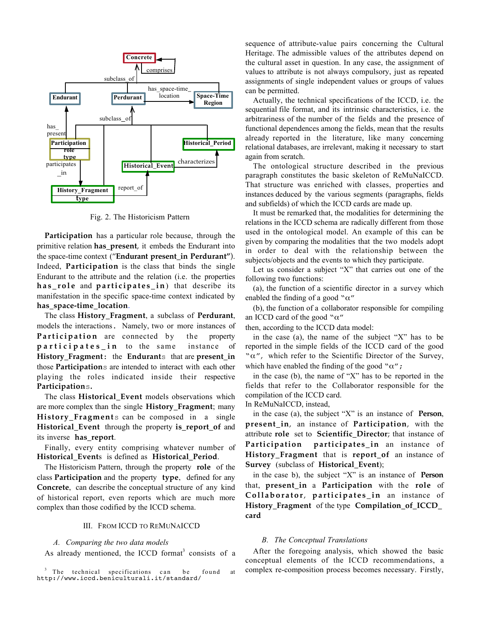

Fig. 2. The Historicism Pattern

**Participation** has a particular role because, through the primitive relation **has\_present**, it embeds the Endurant into the space-time context ("**Endurant present\_in Perdurant"**). Indeed, **Participation** is the class that binds the single Endurant to the attribute and the relation (i.e. the properties **has\_role** and **participates\_in**) that describe its manifestation in the specific space-time context indicated by **has\_space-time\_location**.

The class **History\_Fragment**, a subclass of **Perdurant**, models the interactions. Namely, two or more instances of Participation are connected by the property **participates\_in** to the same instance of **History\_Fragment**: the **Endurant**s that are **present\_in** those **Participation**s are intended to interact with each other playing the roles indicated inside their respective **Participation**s**.**

The class **Historical\_Event** models observations which are more complex than the single **History\_Fragment**; many **History\_Fragment**s can be composed in a single **Historical\_Event** through the property **is\_report\_of** and its inverse **has\_report**.

Finally, every entity comprising whatever number of **Historical\_Event**s is defined as **Historical\_Period**.

The Historicism Pattern, through the property **role** of the class **Participation** and the property **type**, defined for any **Concrete**, can describe the conceptual structure of any kind of historical report, even reports which are much more complex than those codified by the ICCD schema.

# III. FROM ICCD TO REMUNAICCD

### *A. Comparing the two data models*

As already mentioned, the ICCD format<sup>3</sup> consists of a

<sup>3</sup> The technical specifications can be found at http://www.iccd.beniculturali.it/standard/

sequence of attribute-value pairs concerning the Cultural Heritage. The admissible values of the attributes depend on the cultural asset in question. In any case, the assignment of values to attribute is not always compulsory, just as repeated assignments of single independent values or groups of values can be permitted.

Actually, the technical specifications of the ICCD, i.e. the sequential file format, and its intrinsic characteristics, i.e. the arbitrariness of the number of the fields and the presence of functional dependences among the fields, mean that the results already reported in the literature, like many concerning relational databases, are irrelevant, making it necessary to start again from scratch.

The ontological structure described in the previous paragraph constitutes the basic skeleton of ReMuNaICCD. That structure was enriched with classes, properties and instances deduced by the various segments (paragraphs, fields and subfields) of which the ICCD cards are made up.

It must be remarked that, the modalities for determining the relations in the ICCD schema are radically different from those used in the ontological model. An example of this can be given by comparing the modalities that the two models adopt in order to deal with the relationship between the subjects/objects and the events to which they participate.

Let us consider a subject "X" that carries out one of the following two functions:

(a), the function of a scientific director in a survey which enabled the finding of a good " $\alpha$ "

(b), the function of a collaborator responsible for compiling an ICCD card of the good " $\alpha$ "

then, according to the ICCD data model:

in the case (a), the name of the subject "X" has to be reported in the simple fields of the ICCD card of the good " $\alpha$ ", which refer to the Scientific Director of the Survey, which have enabled the finding of the good " $\alpha$ ";

in the case (b), the name of "X" has to be reported in the fields that refer to the Collaborator responsible for the compilation of the ICCD card.

In ReMuNaICCD, instead,

in the case (a), the subject "X" is an instance of **Person**, **present\_in**, an instance of **Participation**, with the attribute **role** set to **Scientific\_Director**; that instance of **Participation participates\_in** an instance of **History\_Fragment** that is **report\_of** an instance of **Survey** (subclass of **Historical\_Event**);

in the case b), the subject "X" is an instance of **Person** that, **present\_in** a **Participation** with the **role** of **Collaborator**, **participates\_in** an instance of **History\_Fragment** of the type **Compilation\_of\_ICCD\_ card**

#### *B. The Conceptual Translations*

After the foregoing analysis, which showed the basic conceptual elements of the ICCD recommendations, a complex re-composition process becomes necessary. Firstly,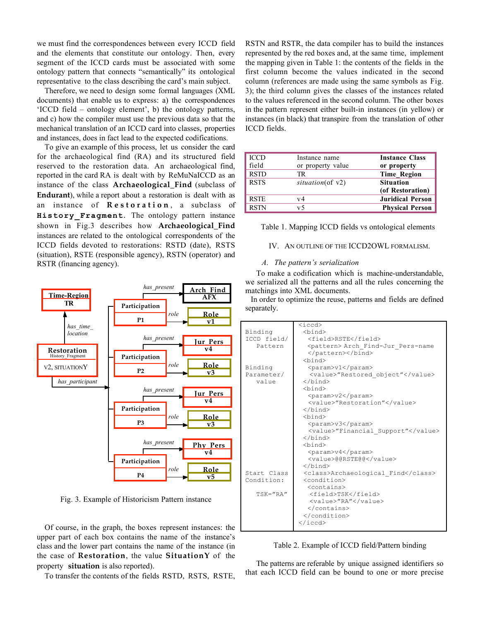we must find the correspondences between every ICCD field and the elements that constitute our ontology. Then, every segment of the ICCD cards must be associated with some ontology pattern that connects "semantically" its ontological representative to the class describing the card's main subject.

Therefore, we need to design some formal languages (XML documents) that enable us to express: a) the correspondences 'ICCD field – ontology element', b) the ontology patterns, and c) how the compiler must use the previous data so that the mechanical translation of an ICCD card into classes, properties and instances, does in fact lead to the expected codifications.

To give an example of this process, let us consider the card for the archaeological find (RA) and its structured field reserved to the restoration data. An archaeological find, reported in the card RA is dealt with by ReMuNaICCD as an instance of the class **Archaeological\_Find** (subclass of **Endurant**), while a report about a restoration is dealt with as an instance of **Restoration** , a subclass of **History\_Fragment**. The ontology pattern instance shown in Fig.3 describes how **Archaeological\_Find** instances are related to the ontological correspondents of the ICCD fields devoted to restorations: RSTD (date), RSTS (situation), RSTE (responsible agency), RSTN (operator) and RSTR (financing agency).



Fig. 3. Example of Historicism Pattern instance

Of course, in the graph, the boxes represent instances: the upper part of each box contains the name of the instance's class and the lower part contains the name of the instance (in the case of **Restoration**, the value **SituationY** of the property **situation** is also reported).

To transfer the contents of the fields RSTD, RSTS, RSTE,

RSTN and RSTR, the data compiler has to build the instances represented by the red boxes and, at the same time, implement the mapping given in Table 1: the contents of the fields in the first column become the values indicated in the second column (references are made using the same symbols as Fig. 3); the third column gives the classes of the instances related to the values referenced in the second column. The other boxes in the pattern represent either built-in instances (in yellow) or instances (in black) that transpire from the translation of other ICCD fields.

| <b>ICCD</b> | Instance name     | <b>Instance Class</b>   |
|-------------|-------------------|-------------------------|
| field       | or property value | or property             |
| <b>RSTD</b> | TR                | <b>Time Region</b>      |
| <b>RSTS</b> | situation(of v2)  | <b>Situation</b>        |
|             |                   | (of Restoration)        |
| <b>RSTE</b> | v4                | <b>Juridical Person</b> |
| <b>RSTN</b> | v 5               | <b>Physical Person</b>  |

Table 1. Mapping ICCD fields vs ontological elements

# IV. AN OUTLINE OF THE ICCD2OWL FORMALISM.

# *A. The pattern's serialization*

To make a codification which is machine-understandable, we serialized all the patterns and all the rules concerning the matchings into XML documents.

In order to optimize the reuse, patterns and fields are defined separately.

|              | $\langle \text{iccd} \rangle$               |
|--------------|---------------------------------------------|
| Binding      | <bind></bind>                               |
| ICCD field/  | <field>RSTE</field>                         |
| Pattern      | <pattern> Arch Find-Jur Pers-name</pattern> |
|              |                                             |
|              | <bind></bind>                               |
| Binding      | <param/> v1                                 |
| Parameter/   | <value>"Restored object"</value>            |
| value        |                                             |
|              | <bind></bind>                               |
|              | <param/> v2                                 |
|              | <value>"Restoration"</value>                |
|              |                                             |
|              | <bind></bind>                               |
|              | <param/> v3                                 |
|              | <value>"Financial Support"</value>          |
|              |                                             |
|              | <bind></bind>                               |
|              | <param/> v4                                 |
|              | <value>@@RSTE@@</value>                     |
|              |                                             |
| Start Class  | <class>Archaeological Find</class>          |
| Condition:   | <condition></condition>                     |
|              | <contains></contains>                       |
| $TSK = "RA"$ | <field>TSK</field>                          |
|              | <value>"RA"</value>                         |
|              |                                             |
|              |                                             |
|              |                                             |
|              |                                             |

Table 2. Example of ICCD field/Pattern binding

The patterns are referable by unique assigned identifiers so that each ICCD field can be bound to one or more precise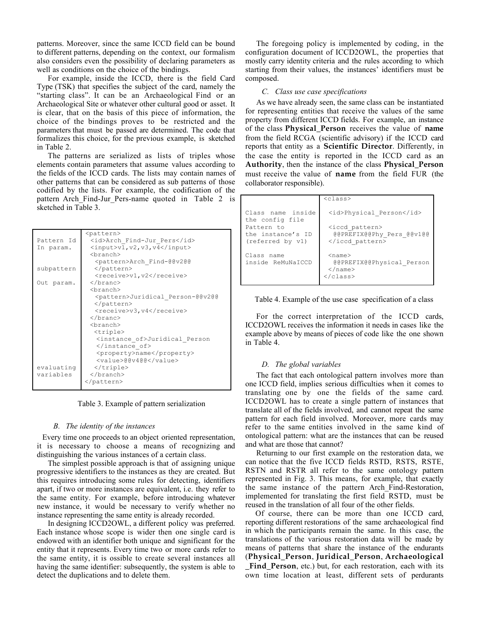patterns. Moreover, since the same ICCD field can be bound to different patterns, depending on the context, our formalism also considers even the possibility of declaring parameters as well as conditions on the choice of the bindings.

For example, inside the ICCD, there is the field Card Type (TSK) that specifies the subject of the card, namely the "starting class". It can be an Archaeological Find or an Archaeological Site or whatever other cultural good or asset. It is clear, that on the basis of this piece of information, the choice of the bindings proves to be restricted and the parameters that must be passed are determined. The code that formalizes this choice, for the previous example, is sketched in Table 2.

The patterns are serialized as lists of triples whose elements contain parameters that assume values according to the fields of the ICCD cards. The lists may contain names of other patterns that can be considered as sub patterns of those codified by the lists. For example, the codification of the pattern Arch Find-Jur Pers-name quoted in Table 2 is sketched in Table 3.

|            | <pattern></pattern>                         |
|------------|---------------------------------------------|
| Pattern Id | <id>Arch Find-Jur Pers</id>                 |
| In param.  | $\langle$ input>v1, v2, v3, v4              |
|            | <branch></branch>                           |
|            | <pattern>Arch Find-@@v2@@</pattern>         |
| subpattern |                                             |
|            | <receive>v1, v2</receive>                   |
| Out param. |                                             |
|            | <branch></branch>                           |
|            | <pattern>Juridical Person-@@v2@@</pattern>  |
|            |                                             |
|            | <receive>v3,v4</receive>                    |
|            |                                             |
|            | <branch></branch>                           |
|            | <triple></triple>                           |
|            | <instance of="">Juridical Person</instance> |
|            |                                             |
|            | <property>name</property>                   |
|            | <value>@@v4@@</value>                       |
| evaluating |                                             |
| variables  |                                             |
|            |                                             |
|            |                                             |

Table 3. Example of pattern serialization

#### *B. The identity of the instances*

Every time one proceeds to an object oriented representation, it is necessary to choose a means of recognizing and distinguishing the various instances of a certain class.

The simplest possible approach is that of assigning unique progressive identifiers to the instances as they are created. But this requires introducing some rules for detecting, identifiers apart, if two or more instances are equivalent, i.e. they refer to the same entity. For example, before introducing whatever new instance, it would be necessary to verify whether no instance representing the same entity is already recorded.

In designing ICCD2OWL, a different policy was preferred. Each instance whose scope is wider then one single card is endowed with an identifier both unique and significant for the entity that it represents. Every time two or more cards refer to the same entity, it is ossible to create several instances all having the same identifier: subsequently, the system is able to detect the duplications and to delete them.

The foregoing policy is implemented by coding, in the configuration document of ICCD2OWL, the properties that mostly carry identity criteria and the rules according to which starting from their values, the instances' identifiers must be composed.

#### *C. Class use case specifications*

As we have already seen, the same class can be instantiated for representing entities that receive the values of the same property from different ICCD fields. For example, an instance of the class **Physical\_Person** receives the value of **name** from the field RCGA (scientific advisory) if the ICCD card reports that entity as a **Scientific Director**. Differently, in the case the entity is reported in the ICCD card as an **Authority**, then the instance of the class **Physical\_Person** must receive the value of **name** from the field FUR (the collaborator responsible).

|                                                     | $<$ class $>$                                                              |
|-----------------------------------------------------|----------------------------------------------------------------------------|
| Class name inside<br>the config file                | <id>Physical Person</id>                                                   |
| Pattern to<br>the instance's ID<br>(referred by v1) | <iccd pattern=""><br/>@@PREFIX@@Phy Pers @@v1@@<br/></iccd>                |
| Class name<br>inside ReMuNaICCD                     | $<$ name $>$<br>@@PREFIX@@Physical Person<br>$\langle$ /name $\rangle$<br> |



For the correct interpretation of the ICCD cards, ICCD2OWL receives the information it needs in cases like the example above by means of pieces of code like the one shown in Table 4.

#### *D. The global variables*

The fact that each ontological pattern involves more than one ICCD field, implies serious difficulties when it comes to translating one by one the fields of the same card. ICCD2OWL has to create a single pattern of instances that translate all of the fields involved, and cannot repeat the same pattern for each field involved. Moreover, more cards may refer to the same entities involved in the same kind of ontological pattern: what are the instances that can be reused and what are those that cannot?

Returning to our first example on the restoration data, we can notice that the five ICCD fields RSTD, RSTS, RSTE, RSTN and RSTR all refer to the same ontology pattern represented in Fig. 3. This means, for example, that exactly the same instance of the pattern Arch\_Find-Restoration, implemented for translating the first field RSTD, must be reused in the translation of all four of the other fields.

Of course, there can be more than one ICCD card, reporting different restorations of the same archaeological find in which the participants remain the same. In this case, the translations of the various restoration data will be made by means of patterns that share the instance of the endurants (**Physical\_Person**, **Juridical\_Person**, **Archaeological \_Find\_Person**, etc.) but, for each restoration, each with its own time location at least, different sets of perdurants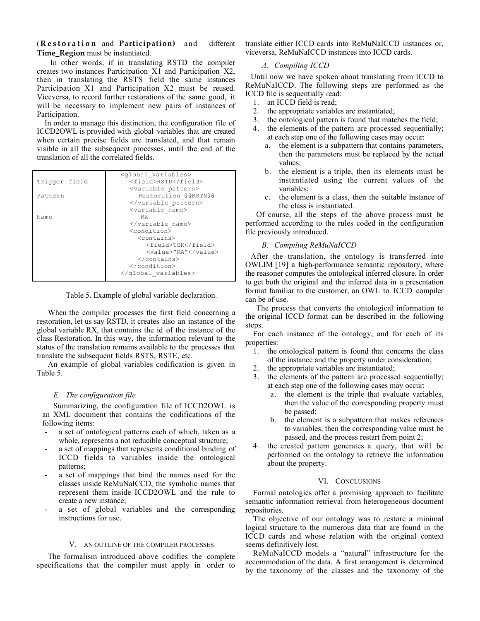(**Restoration** and **Participation)** and different **Time\_Region** must be instantiated.

In other words, if in translating RSTD the compiler creates two instances Participation\_X1 and Participation\_X2, then in translating the RSTS field the same instances Participation X1 and Participation X2 must be reused. Viceversa, to record further restorations of the same good, it will be necessary to implement new pairs of instances of Participation.

In order to manage this distinction, the configuration file of ICCD2OWL is provided with global variables that are created when certain precise fields are translated, and that remain visible in all the subsequent processes, until the end of the translation of all the correlated fields.

|               | <qlobal variables=""></qlobal>   |
|---------------|----------------------------------|
| Trigger field | <field>RSTD</field>              |
|               | <variable pattern=""></variable> |
| Pattern       | Restoration @@RSTN@@             |
|               |                                  |
|               | <variable name=""></variable>    |
| Name          | RX.                              |
|               |                                  |
|               | <condition></condition>          |
|               | <contains></contains>            |
|               | <field>TSK</field>               |
|               | <value>"RA"</value>              |
|               |                                  |
|               |                                  |
|               |                                  |

Table 5. Example of global variable declaration.

When the compiler processes the first field concerning a restoration, let us say RSTD, it creates also an instance of the global variable RX, that contains the id of the instance of the class Restoration. In this way, the information relevant to the status of the translation remains available to the processes that translate the subsequent fields RSTS, RSTE, etc.

An example of global variables codification is given in Table 5.

# *E. The configuration file*

Summarizing, the configuration file of ICCD2OWL is an XML document that contains the codifications of the following items:

- a set of ontological patterns each of which, taken as a whole, represents a not reducible conceptual structure;
- a set of mappings that represents conditional binding of ICCD fields to variables inside the ontological patterns;
- a set of mappings that bind the names used for the classes inside ReMuNaICCD, the symbolic names that represent them inside ICCD2OWL and the rule to create a new instance;
- a set of global variables and the corresponding instructions for use.

#### V. AN OUTLINE OF THE COMPILER PROCESSES

The formalism introduced above codifies the complete specifications that the compiler must apply in order to

translate either ICCD cards into ReMuNaICCD instances or, viceversa, ReMuNaICCD instances into ICCD cards.

# *A. Compiling ICCD*

Until now we have spoken about translating from ICCD to ReMuNaICCD. The following steps are performed as the ICCD file is sequentially read:

- 1. an ICCD field is read;
- 2. the appropriate variables are instantiated;
- 3. the ontological pattern is found that matches the field;
- 4. the elements of the pattern are processed sequentially; at each step one of the following cases may occur:
	- a. the element is a subpattern that contains parameters, then the parameters must be replaced by the actual values;
	- b. the element is a triple, then its elements must be instantiated using the current values of the variables;
	- c. the element is a class, then the suitable instance of the class is instantiated.

Of course, all the steps of the above process must be performed according to the rules coded in the configuration file previously introduced.

# *B. Compiling ReMuNaICCD*

After the translation, the ontology is transferred into OWLIM [19] a high-performance semantic repository, where the reasoner computes the ontological inferred closure. In order to get both the original and the inferred data in a presentation format familiar to the customer, an OWL to ICCD compiler can be of use.

The process that converts the ontological information to the original ICCD format can be described in the following steps.

For each instance of the ontology, and for each of its properties:

- 1. the ontological pattern is found that concerns the class of the instance and the property under consideration;
- 2. the appropriate variables are instantiated;
- 3. the elements of the pattern are processed sequentially; at each step one of the following cases may occur:
	- a. the element is the triple that evaluate variables, then the value of the corresponding property must be passed;
	- b. the element is a subpattern that makes references to variables, then the corresponding value must be passed, and the process restart from point 2;
- 4 . the created pattern generates a query, that will be performed on the ontology to retrieve the information about the property.

# VI. CONCLUSIONS

Formal ontologies offer a promising approach to facilitate semantic information retrieval from heterogeneous document repositories.

The objective of our ontology was to restore a minimal logical structure to the numerous data that are found in the ICCD cards and whose relation with the original context seems definitively lost.

ReMuNaICCD models a "natural" infrastructure for the accommodation of the data. A first arrangement is determined by the taxonomy of the classes and the taxonomy of the